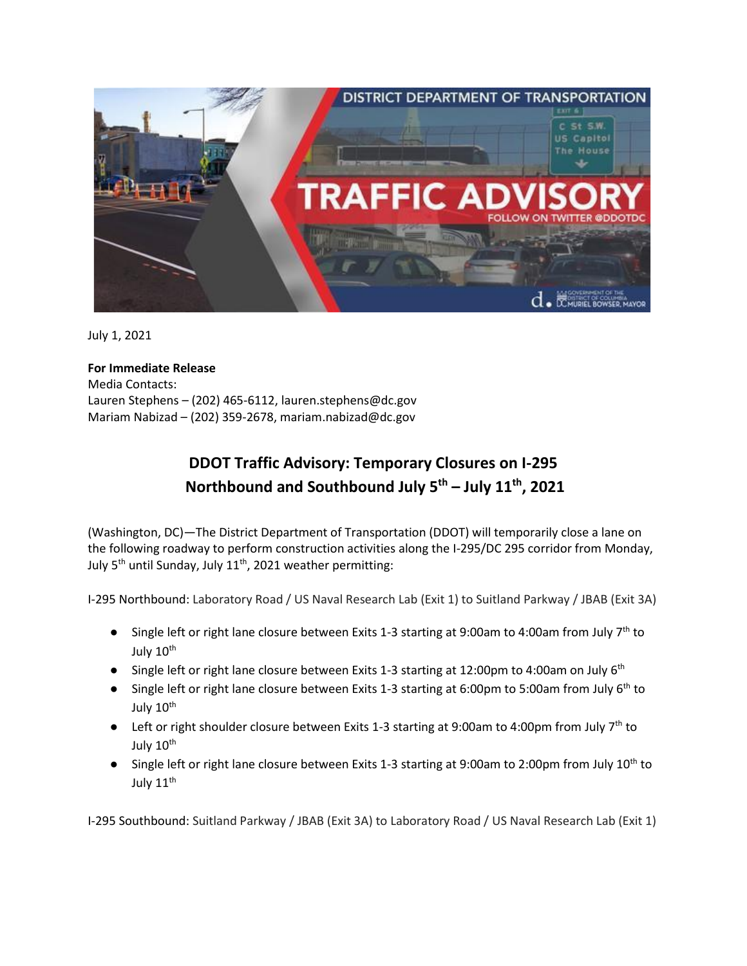

July 1, 2021

**For Immediate Release** Media Contacts: Lauren Stephens – (202) 465-6112[, lauren.stephens@dc.gov](mailto:lauren.stephens@dc.gov) Mariam Nabizad – (202) 359-2678[, mariam.nabizad@dc.gov](mailto:mariam.nabizad@dc.gov) 

## **DDOT Traffic Advisory: Temporary Closures on I-295 Northbound and Southbound July 5th – July 11th, 2021**

(Washington, DC)—The District Department of Transportation (DDOT) will temporarily close a lane on the following roadway to perform construction activities along the I-295/DC 295 corridor from Monday, July  $5<sup>th</sup>$  until Sunday, July  $11<sup>th</sup>$ , 2021 weather permitting:

I-295 Northbound: Laboratory Road / US Naval Research Lab (Exit 1) to Suitland Parkway / JBAB (Exit 3A)

- Single left or right lane closure between Exits 1-3 starting at 9:00am to 4:00am from July 7<sup>th</sup> to July 10<sup>th</sup>
- Single left or right lane closure between Exits 1-3 starting at 12:00pm to 4:00am on July 6<sup>th</sup>
- Single left or right lane closure between Exits 1-3 starting at 6:00pm to 5:00am from July  $6<sup>th</sup>$  to July 10<sup>th</sup>
- Left or right shoulder closure between Exits 1-3 starting at 9:00am to 4:00pm from July 7<sup>th</sup> to July 10<sup>th</sup>
- Single left or right lane closure between Exits 1-3 starting at 9:00am to 2:00pm from July 10<sup>th</sup> to July 11<sup>th</sup>

I-295 Southbound: Suitland Parkway / JBAB (Exit 3A) to Laboratory Road / US Naval Research Lab (Exit 1)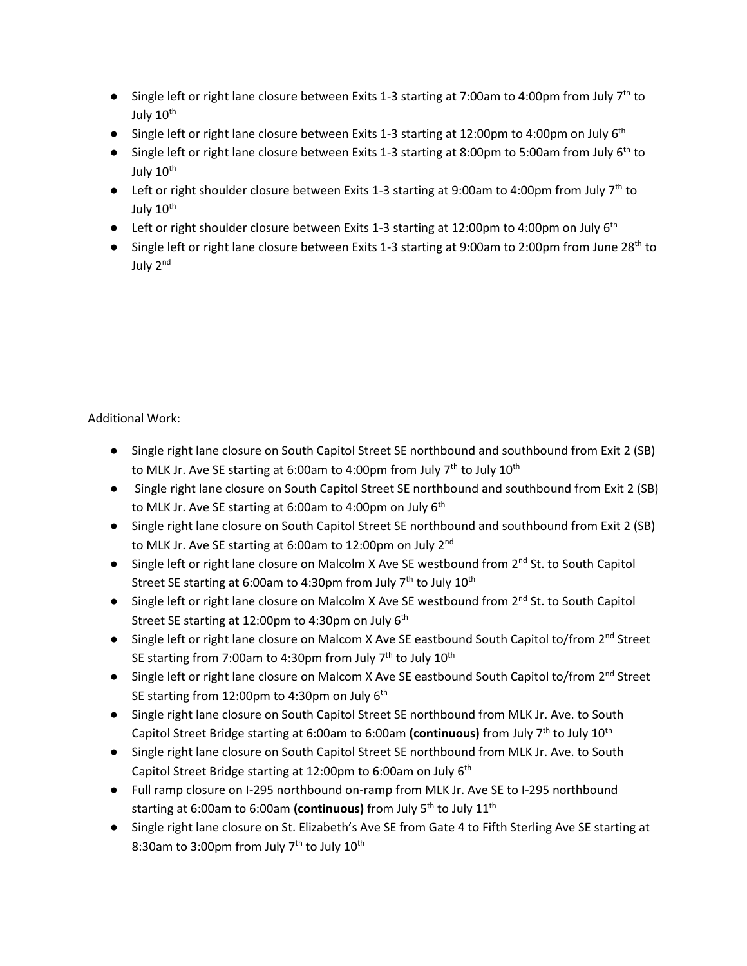- Single left or right lane closure between Exits 1-3 starting at 7:00am to 4:00pm from July 7<sup>th</sup> to July 10<sup>th</sup>
- Single left or right lane closure between Exits 1-3 starting at 12:00pm to 4:00pm on July 6<sup>th</sup>
- Single left or right lane closure between Exits 1-3 starting at 8:00pm to 5:00am from July 6<sup>th</sup> to July 10<sup>th</sup>
- **•** Left or right shoulder closure between Exits 1-3 starting at 9:00am to 4:00pm from July 7<sup>th</sup> to July 10<sup>th</sup>
- Left or right shoulder closure between Exits 1-3 starting at 12:00pm to 4:00pm on July 6<sup>th</sup>
- Single left or right lane closure between Exits 1-3 starting at 9:00am to 2:00pm from June 28<sup>th</sup> to July 2nd

Additional Work:

- Single right lane closure on South Capitol Street SE northbound and southbound from Exit 2 (SB) to MLK Jr. Ave SE starting at 6:00am to 4:00pm from July  $7<sup>th</sup>$  to July  $10<sup>th</sup>$
- Single right lane closure on South Capitol Street SE northbound and southbound from Exit 2 (SB) to MLK Jr. Ave SE starting at 6:00am to 4:00pm on July 6<sup>th</sup>
- Single right lane closure on South Capitol Street SE northbound and southbound from Exit 2 (SB) to MLK Jr. Ave SE starting at 6:00am to 12:00pm on July 2<sup>nd</sup>
- Single left or right lane closure on Malcolm X Ave SE westbound from 2<sup>nd</sup> St. to South Capitol Street SE starting at 6:00am to 4:30pm from July  $7<sup>th</sup>$  to July  $10<sup>th</sup>$
- Single left or right lane closure on Malcolm X Ave SE westbound from 2<sup>nd</sup> St. to South Capitol Street SE starting at 12:00pm to 4:30pm on July  $6^\text{th}$
- Single left or right lane closure on Malcom X Ave SE eastbound South Capitol to/from 2<sup>nd</sup> Street SE starting from 7:00am to 4:30pm from July  $7<sup>th</sup>$  to July  $10<sup>th</sup>$
- Single left or right lane closure on Malcom X Ave SE eastbound South Capitol to/from 2<sup>nd</sup> Street SE starting from 12:00pm to 4:30pm on July  $6^{\text{th}}$
- Single right lane closure on South Capitol Street SE northbound from MLK Jr. Ave. to South Capitol Street Bridge starting at 6:00am to 6:00am (continuous) from July 7<sup>th</sup> to July 10<sup>th</sup>
- Single right lane closure on South Capitol Street SE northbound from MLK Jr. Ave. to South Capitol Street Bridge starting at 12:00pm to 6:00am on July 6<sup>th</sup>
- Full ramp closure on I-295 northbound on-ramp from MLK Jr. Ave SE to I-295 northbound starting at 6:00am to 6:00am **(continuous)** from July 5th to July 11th
- Single right lane closure on St. Elizabeth's Ave SE from Gate 4 to Fifth Sterling Ave SE starting at 8:30am to 3:00pm from July  $7<sup>th</sup>$  to July  $10<sup>th</sup>$